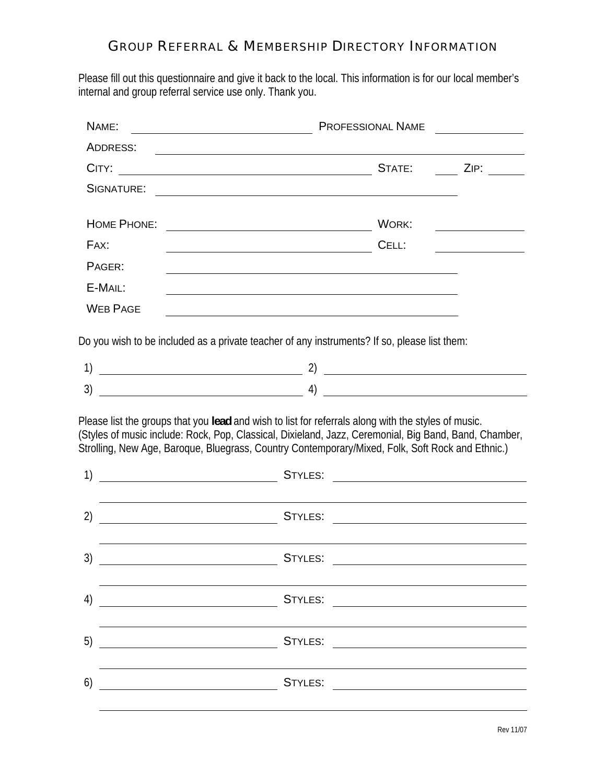## GROUP REFERRAL & MEMBERSHIP DIRECTORY INFORMATION

Please fill out this questionnaire and give it back to the local. This information is for our local member's internal and group referral service use only. Thank you.

| NAME:                                                                                                                                                                                                                                                                                                            | <b>PROFESSIONAL NAME</b>                                                                                                                                                      |  |  |  |  |  |  |
|------------------------------------------------------------------------------------------------------------------------------------------------------------------------------------------------------------------------------------------------------------------------------------------------------------------|-------------------------------------------------------------------------------------------------------------------------------------------------------------------------------|--|--|--|--|--|--|
| ADDRESS:                                                                                                                                                                                                                                                                                                         |                                                                                                                                                                               |  |  |  |  |  |  |
| CITY:                                                                                                                                                                                                                                                                                                            | ZIP: The contract of the contract of the contract of the contract of the contract of the contract of the contr<br>STATE:<br><u> 1980 - Johann Barbara, martxa alemaniar a</u> |  |  |  |  |  |  |
| SIGNATURE:                                                                                                                                                                                                                                                                                                       |                                                                                                                                                                               |  |  |  |  |  |  |
|                                                                                                                                                                                                                                                                                                                  |                                                                                                                                                                               |  |  |  |  |  |  |
| HOME PHONE:                                                                                                                                                                                                                                                                                                      | WORK:<br><u> 1980 - Johann Barn, mars ann an t-Amhain Aonaich an t-Aonaich an t-Aonaich ann an t-Aonaich ann an t-Aonaich</u>                                                 |  |  |  |  |  |  |
| FAX:                                                                                                                                                                                                                                                                                                             | CELL:<br><u> 1989 - Johann Barbara, martxa a</u>                                                                                                                              |  |  |  |  |  |  |
| PAGER:                                                                                                                                                                                                                                                                                                           |                                                                                                                                                                               |  |  |  |  |  |  |
| E-MAIL:                                                                                                                                                                                                                                                                                                          |                                                                                                                                                                               |  |  |  |  |  |  |
| <b>WEB PAGE</b>                                                                                                                                                                                                                                                                                                  |                                                                                                                                                                               |  |  |  |  |  |  |
|                                                                                                                                                                                                                                                                                                                  | Do you wish to be included as a private teacher of any instruments? If so, please list them:                                                                                  |  |  |  |  |  |  |
| 1)                                                                                                                                                                                                                                                                                                               | $\overline{\phantom{a}2)}$ $\overline{\phantom{a}2)}$                                                                                                                         |  |  |  |  |  |  |
| 3)                                                                                                                                                                                                                                                                                                               | 4)<br><u> 1989 - Johann Barbara, martxa a</u>                                                                                                                                 |  |  |  |  |  |  |
| Please list the groups that you lead and wish to list for referrals along with the styles of music.<br>(Styles of music include: Rock, Pop, Classical, Dixieland, Jazz, Ceremonial, Big Band, Band, Chamber,<br>Strolling, New Age, Baroque, Bluegrass, Country Contemporary/Mixed, Folk, Soft Rock and Ethnic.) |                                                                                                                                                                               |  |  |  |  |  |  |
| 1)                                                                                                                                                                                                                                                                                                               | STYLES:                                                                                                                                                                       |  |  |  |  |  |  |
|                                                                                                                                                                                                                                                                                                                  |                                                                                                                                                                               |  |  |  |  |  |  |
| $\mathbf{2}$                                                                                                                                                                                                                                                                                                     | <b>STYLES:</b><br><u> 1980 - Johann Barbara, martxa eta idazlea </u>                                                                                                          |  |  |  |  |  |  |
|                                                                                                                                                                                                                                                                                                                  |                                                                                                                                                                               |  |  |  |  |  |  |
| 3)                                                                                                                                                                                                                                                                                                               | STYLES:                                                                                                                                                                       |  |  |  |  |  |  |
|                                                                                                                                                                                                                                                                                                                  |                                                                                                                                                                               |  |  |  |  |  |  |
| 4)                                                                                                                                                                                                                                                                                                               |                                                                                                                                                                               |  |  |  |  |  |  |
|                                                                                                                                                                                                                                                                                                                  |                                                                                                                                                                               |  |  |  |  |  |  |
| 5)                                                                                                                                                                                                                                                                                                               |                                                                                                                                                                               |  |  |  |  |  |  |
|                                                                                                                                                                                                                                                                                                                  |                                                                                                                                                                               |  |  |  |  |  |  |
| 6)                                                                                                                                                                                                                                                                                                               |                                                                                                                                                                               |  |  |  |  |  |  |